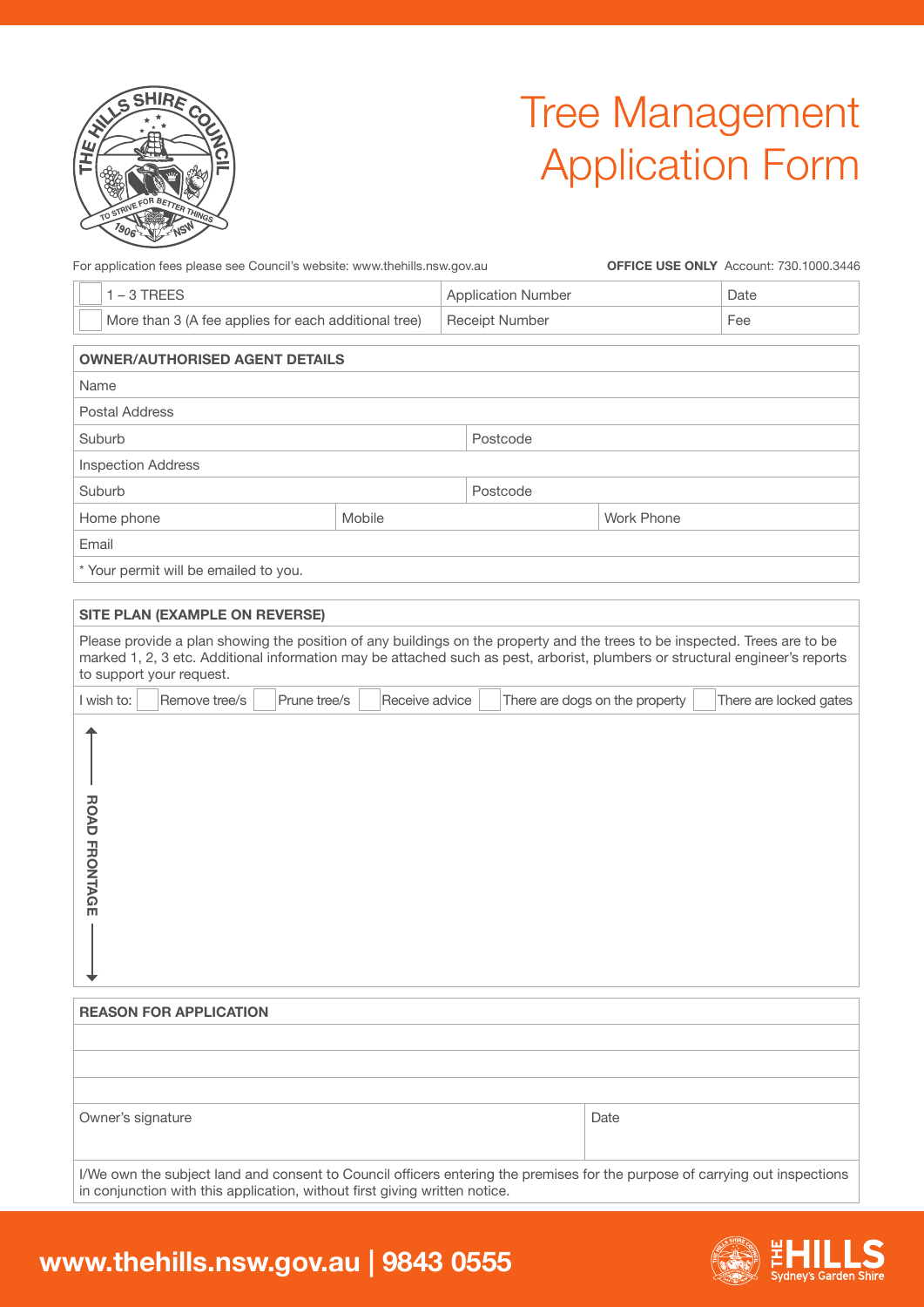

# Tree Management Application Form

For application fees please see Council's website: www.thehills.nsw.gov.au

**OFFICE USE ONLY** Account: 730.1000.3446

| $1 - 3$ TREES                                        |        | <b>Application Number</b> | Date       |     |  |
|------------------------------------------------------|--------|---------------------------|------------|-----|--|
| More than 3 (A fee applies for each additional tree) |        | <b>Receipt Number</b>     |            | Fee |  |
| <b>OWNER/AUTHORISED AGENT DETAILS</b>                |        |                           |            |     |  |
| Name                                                 |        |                           |            |     |  |
| Postal Address                                       |        |                           |            |     |  |
| Suburb                                               |        | Postcode                  |            |     |  |
| <b>Inspection Address</b>                            |        |                           |            |     |  |
| Suburb                                               |        | Postcode                  |            |     |  |
| Home phone                                           | Mobile |                           | Work Phone |     |  |
| Email                                                |        |                           |            |     |  |
| * Your nermit will he emailed to you.                |        |                           |            |     |  |

iur permit will be emailed to you

| <b>SITE PLAN (EXAMPLE ON REVERSE)</b>                                                                                                                                                                                                                                                  |                                                          |
|----------------------------------------------------------------------------------------------------------------------------------------------------------------------------------------------------------------------------------------------------------------------------------------|----------------------------------------------------------|
| Please provide a plan showing the position of any buildings on the property and the trees to be inspected. Trees are to be<br>marked 1, 2, 3 etc. Additional information may be attached such as pest, arborist, plumbers or structural engineer's reports<br>to support your request. |                                                          |
| I wish to:<br>Remove tree/s<br>Prune tree/s<br>Receive advice                                                                                                                                                                                                                          | There are dogs on the property<br>There are locked gates |
| <b>ROAD FRONTAGE</b>                                                                                                                                                                                                                                                                   |                                                          |
| <b>REASON FOR APPLICATION</b>                                                                                                                                                                                                                                                          |                                                          |
|                                                                                                                                                                                                                                                                                        |                                                          |
|                                                                                                                                                                                                                                                                                        |                                                          |
|                                                                                                                                                                                                                                                                                        |                                                          |
| Owner's signature                                                                                                                                                                                                                                                                      | Date                                                     |

I/We own the subject land and consent to Council officers entering the premises for the purpose of carrying out inspections in conjunction with this application, without first giving written notice.

## **www.thehills.nsw.gov.au | 9843 0555**

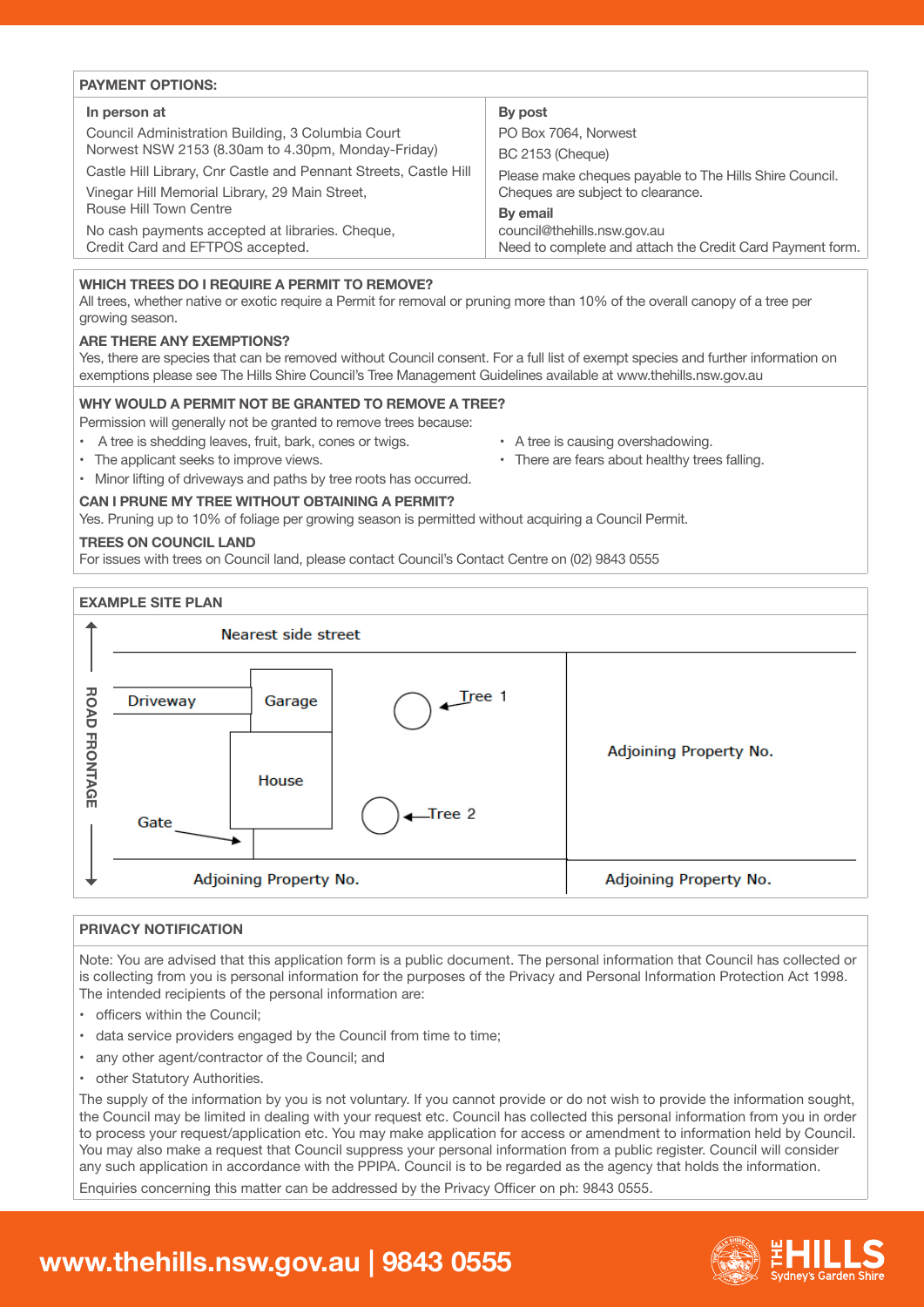| <b>PAYMENT OPTIONS:</b>                                          |                                                           |  |  |  |  |
|------------------------------------------------------------------|-----------------------------------------------------------|--|--|--|--|
| In person at                                                     | By post                                                   |  |  |  |  |
| Council Administration Building, 3 Columbia Court                | PO Box 7064, Norwest                                      |  |  |  |  |
| Norwest NSW 2153 (8.30am to 4.30pm, Monday-Friday)               | <b>BC 2153 (Cheque)</b>                                   |  |  |  |  |
| Castle Hill Library, Cnr Castle and Pennant Streets, Castle Hill | Please make cheques payable to The Hills Shire Council.   |  |  |  |  |
| Vinegar Hill Memorial Library, 29 Main Street,                   | Cheques are subject to clearance.                         |  |  |  |  |
| Rouse Hill Town Centre                                           | By email                                                  |  |  |  |  |
| No cash payments accepted at libraries. Cheque,                  | council@thehills.nsw.gov.au                               |  |  |  |  |
| Credit Card and EFTPOS accepted.                                 | Need to complete and attach the Credit Card Payment form. |  |  |  |  |

### **WHICH TREES DO I REQUIRE A PERMIT TO REMOVE?**

All trees, whether native or exotic require a Permit for removal or pruning more than 10% of the overall canopy of a tree per growing season.

### **ARE THERE ANY EXEMPTIONS?**

Yes, there are species that can be removed without Council consent. For a full list of exempt species and further information on exemptions please see The Hills Shire Council's Tree Management Guidelines available at www.thehills.nsw.gov.au

### **WHY WOULD A PERMIT NOT BE GRANTED TO REMOVE A TREE?**

Permission will generally not be granted to remove trees because:

- A tree is shedding leaves, fruit, bark, cones or twigs. A tree is causing overshadowing.
- The applicant seeks to improve views. There are fears about healthy trees falling.
- Minor lifting of driveways and paths by tree roots has occurred.

### **CAN I PRUNE MY TREE WITHOUT OBTAINING A PERMIT?**

Yes. Pruning up to 10% of foliage per growing season is permitted without acquiring a Council Permit.

### **TREES ON COUNCIL LAND**

For issues with trees on Council land, please contact Council's Contact Centre on (02) 9843 0555



### **PRIVACY NOTIFICATION**

Note: You are advised that this application form is a public document. The personal information that Council has collected or is collecting from you is personal information for the purposes of the Privacy and Personal Information Protection Act 1998. The intended recipients of the personal information are:

- officers within the Council;
- data service providers engaged by the Council from time to time;
- any other agent/contractor of the Council; and
- other Statutory Authorities.

The supply of the information by you is not voluntary. If you cannot provide or do not wish to provide the information sought, the Council may be limited in dealing with your request etc. Council has collected this personal information from you in order to process your request/application etc. You may make application for access or amendment to information held by Council. You may also make a request that Council suppress your personal information from a public register. Council will consider any such application in accordance with the PPIPA. Council is to be regarded as the agency that holds the information.

# **www.thehills.nsw.gov.au | 9843 0555**